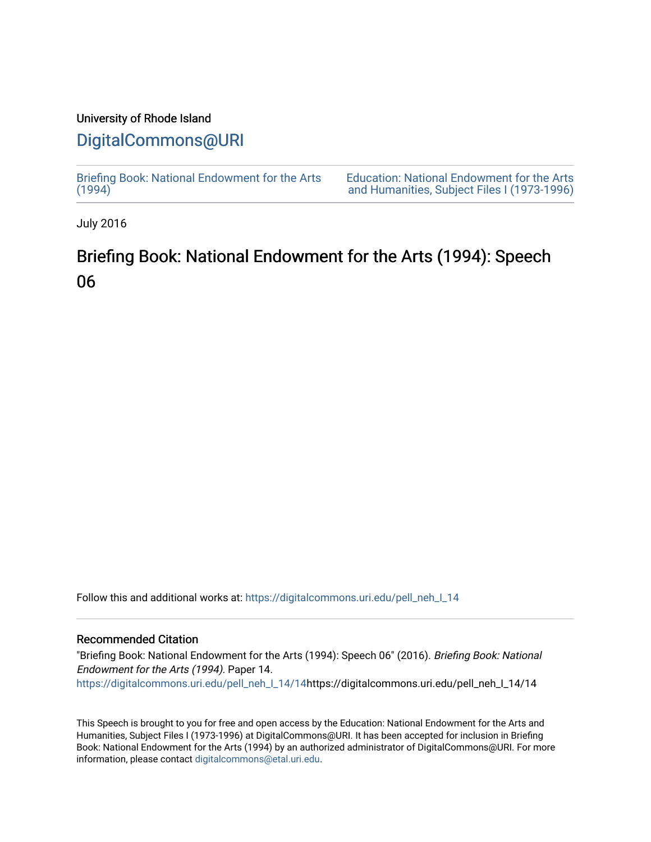## University of Rhode Island

# [DigitalCommons@URI](https://digitalcommons.uri.edu/)

[Briefing Book: National Endowment for the Arts](https://digitalcommons.uri.edu/pell_neh_I_14)  $(1994)$ 

[Education: National Endowment for the Arts](https://digitalcommons.uri.edu/pell_neh_I)  [and Humanities, Subject Files I \(1973-1996\)](https://digitalcommons.uri.edu/pell_neh_I) 

July 2016

# Briefing Book: National Endowment for the Arts (1994): Speech 06

Follow this and additional works at: [https://digitalcommons.uri.edu/pell\\_neh\\_I\\_14](https://digitalcommons.uri.edu/pell_neh_I_14?utm_source=digitalcommons.uri.edu%2Fpell_neh_I_14%2F14&utm_medium=PDF&utm_campaign=PDFCoverPages) 

### Recommended Citation

"Briefing Book: National Endowment for the Arts (1994): Speech 06" (2016). Briefing Book: National Endowment for the Arts (1994). Paper 14. [https://digitalcommons.uri.edu/pell\\_neh\\_I\\_14/14h](https://digitalcommons.uri.edu/pell_neh_I_14/14?utm_source=digitalcommons.uri.edu%2Fpell_neh_I_14%2F14&utm_medium=PDF&utm_campaign=PDFCoverPages)ttps://digitalcommons.uri.edu/pell\_neh\_I\_14/14

This Speech is brought to you for free and open access by the Education: National Endowment for the Arts and Humanities, Subject Files I (1973-1996) at DigitalCommons@URI. It has been accepted for inclusion in Briefing Book: National Endowment for the Arts (1994) by an authorized administrator of DigitalCommons@URI. For more information, please contact [digitalcommons@etal.uri.edu.](mailto:digitalcommons@etal.uri.edu)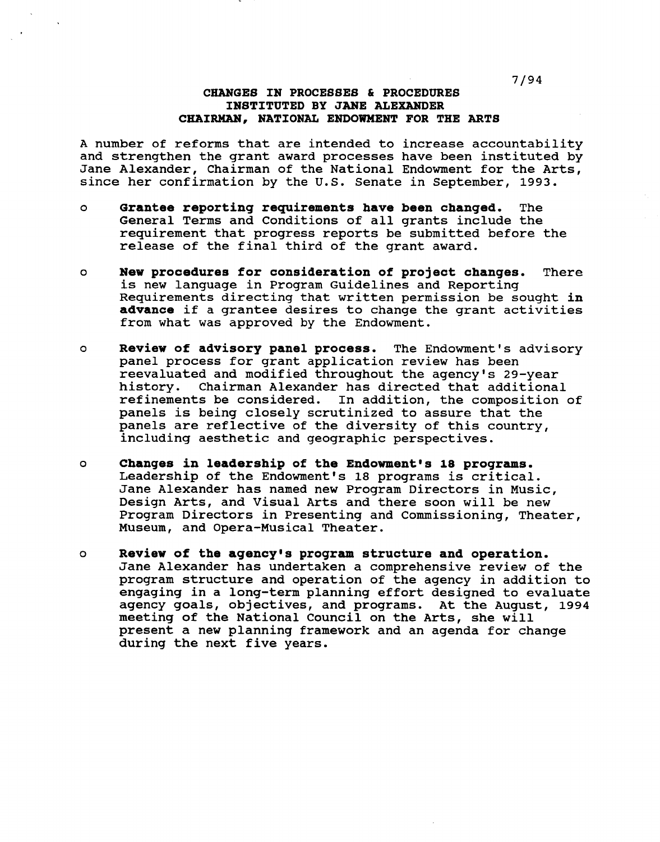7/94

### CHANGES IN PROCESSES & PROCEDURES INSTITUTED BY JANE ALEXANDER CHAIRMAN, NATIONAL ENDOWMENT FOR THE ARTS

A number of reforms that are intended to increase accountability and strengthen the grant award processes have been instituted by Jane Alexander, Chairman of the National Endowment for the Arts, since her confirmation by the U.S. Senate in September, 1993.

- o Grantee reportinq requirements have been chanqed. The General Terms and Conditions of all grants include the requirement that progress reports be submitted before the release of the final third of the grant award.
- o New procedures for consideration of project chanqes. There is new language in Program Guidelines and Reporting Requirements directing that written permission be sought in advance if a grantee desires to change the grant activities from what was approved by the Endowment.
- o Review of advisory panel process. The Endowment's advisory panel process for grant application review has been reevaluated and modified throughout the agency's 29-year Chairman Alexander has directed that additional refinements be considered. In addition, the composition of panels is being closely scrutinized to assure that the panels are reflective of the diversity of this country, including aesthetic and geographic perspectives.
- o Changes in leadership of the Endowment's 18 proqrams. Leadership of the Endowment's 18 programs is critical. Jane Alexander has named new Program Directors in Music, Design Arts, and Visual Arts and there soon will be new Program Directors in Presenting and Commissioning, Theater, Museum, and Opera-Musical Theater.
- o Review of the aqency•s proqram structure and operation. Jane Alexander has undertaken a comprehensive review of the program structure and operation of the agency in addition to engaging in a long-term planning effort designed to evaluate agency goals, objectives, and programs. At the August, 1994 meeting of the National Council on the Arts, she will present a new planning framework and an agenda for change during the next five years.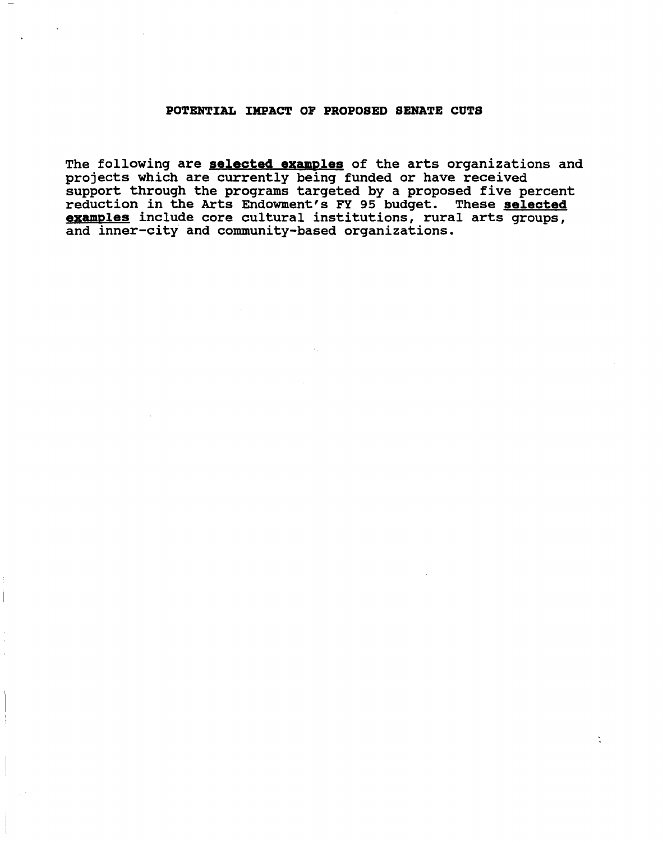### POTENTIAL IMPACT OF PROPOSED SENATE CUTS

The following are **selected examples** of the arts organizations and projects which are currently being funded or have received support through the programs targeted by a proposed five percent reduction in the Arts Endowment's FY 95 budget. These selected examples include core cultural institutions, rural arts groups, and inner-city and community-based organizations.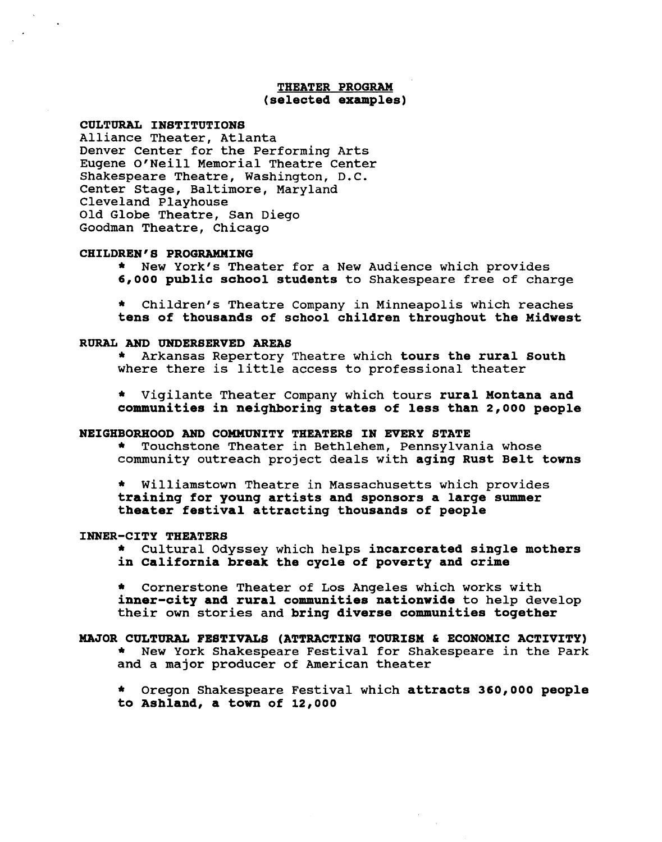### THEATER PROGRAM (selected examples)

### CULTURAL INSTITUTIONS

Alliance Theater, Atlanta Denver Center for the Performing Arts Eugene O'Neill Memorial Theatre Center Shakespeare Theatre, Washington, D.C. Center Stage, Baltimore, Maryland Cleveland Playhouse Old Globe Theatre, San Diego Goodman Theatre, Chicago

#### CHILDREN'S PROGRAMMING

\* New York's Theater for a New Audience which provides 6,000 public school students to Shakespeare free of charge

Children's Theatre Company in Minneapolis which reaches tens of thousands of school children throughout the Midwest

RURAL AND UNDERSERVED AREAS<br>\* Arkansas Repertory Theatre which tours the rural South where there is little access to professional theater

\* Vigilante Theater Company which tours rural Montana and communities in neighboring states of less than 2,000 people

#### NEIGHBORHOOD AND COMMUNITY THEATERS IN EVERY STATE

\* Touchstone Theater in Bethlehem, Pennsylvania whose community outreach project deals with aging Rust Belt towns

\* Williamstown Theatre in Massachusetts which provides training for young artists and sponsors a large summer theater festival attracting thousands of people

INNER-CITY THEATERS \* Cultural Odyssey which helps incarcerated single mothers in California break the cycle of poverty and crime

\* Cornerstone Theater of Los Angeles which works with inner-city and rural communities nationwide to help develop their own stories and bring diverse communities together

### MAJOR CULTURAL FESTIVALS (ATTRACTING TOURISM & ECONOMIC ACTIVITY) \* New York Shakespeare Festival for Shakespeare in the Park and a major producer of American theater

\* Oregon Shakespeare Festival which attracts 360,000 people to Ashland, a town of 12,000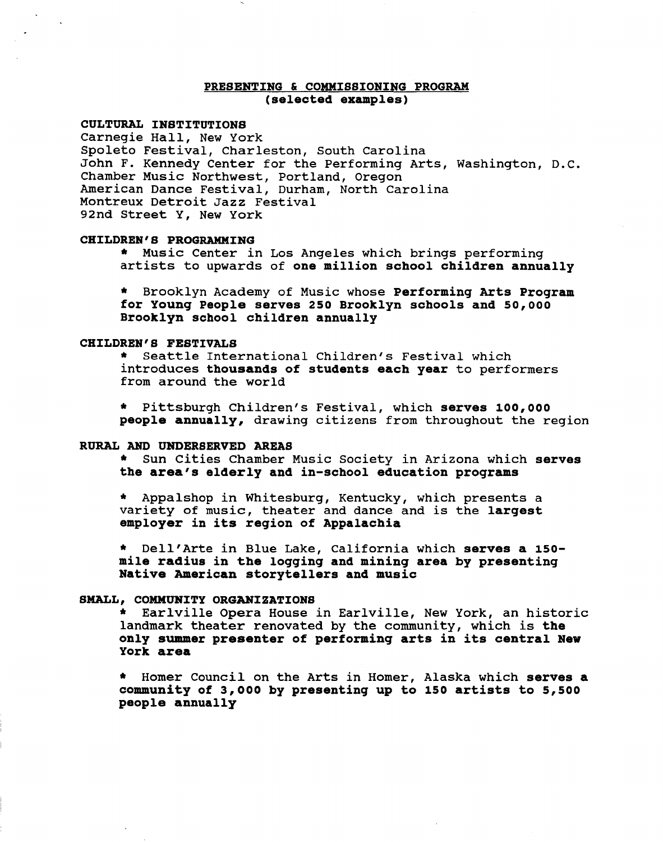### PRESENTING & COMMISSIONING PROGRAM (selected examples)

#### CULTURAL INSTITUTIONS

Carnegie Hall, New York Spoleto Festival, Charleston, South Carolina John F. Kennedy Center for the Performing Arts, Washington, D.C. Chamber Music Northwest, Portland, Oregon American Dance Festival, Durham, North Carolina Montreux Detroit Jazz Festival 92nd Street Y, New York

CHILDREN'S PROGRAMMING \* Music Center in Los Angeles which brings performing artists to upwards of one million school children annually

\* Brooklyn Academy of Music whose Performing Arts Program for Young People serves 250 Brooklyn schools and 50,000 Brooklyn school children annually

CHILDREN'S FESTIVALS \* Seattle International Children's Festival which introduces thousands of students each year to performers from around the world

\* Pittsburgh Children's Festival, which serves 100,000 people annually, drawing citizens from throughout the region

RURAL AND UNDERSERVED AREAS<br>\* Sun Cities Chamber Music Society in Arizona which serves the area's elderly and in-school education programs

\* Appalshop in Whitesburg, Kentucky, which presents a variety of music, theater and dance and is the largest employer in its region of Appalachia

\* Dell'Arte in Blue Lake, California which serves a 150 mile radius in the logging and mining area by presenting Native American storytellers and music

SMALL, COMMUNITY ORGANIZATIONS \* Earlville Opera House in Earlville, New York, an historic landmark theater renovated by the community, which is the only summer presenter of performing arts in its central New York area

Homer Council on the Arts in Homer, Alaska which serves a community of 3,ooo by presenting up to 150 artists to 5,500 people annually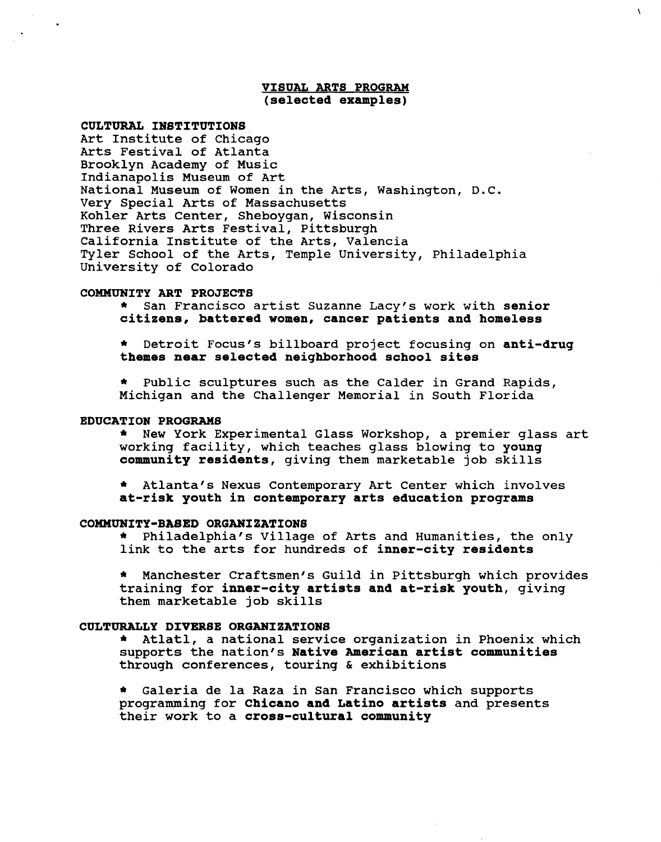#### VISUAL ARTS PROGRAM (selected examples)

Â

### CULTURAL INSTITUTIONS

Art Institute of Chicago Arts Festival of Atlanta Brooklyn Academy of Music Indianapolis Museum of Art National Museum of Women in the Arts, Washington, D.C. Very Special Arts of Massachusetts Kohler Arts Center, Sheboygan, Wisconsin Three Rivers Arts Festival, Pittsburgh California Institute of the Arts, Valencia Tyler School of the Arts, Temple University, Philadelphia University of Colorado

#### COMMUNITY ART PROJECTS

\* San Francisco artist Suzanne Lacy's work with senior citizens, battered women, cancer patients and homeless

Detroit Focus's billboard project focusing on anti-drug themes near selected neighborhood school sites

\* Public sculptures such as the Calder in Grand Rapids, Michigan and the Challenger Memorial in South Florida

EDUCATION PROGRAMS \* New York Experimental Glass Workshop, a premier glass art working facility, which teaches glass blowing to young community residents, giving them marketable job skills

Atlanta's Nexus Contemporary Art Center which involves at-risk youth in contemporary arts education programs

### COMMUNITY-BASED ORGANIZATIONS

\* Philadelphia's Village of Arts and Humanities, the only link to the arts for hundreds of inner-city residents

\* Manchester Craftsmen's Guild in Pittsburgh which provides training for inner-city artists and at-risk youth, giving them marketable job skills

CULTURALLY DIVERSE ORGANIZATIONS \* Atlatl, a national service organization in Phoenix which supports the nation's Native American artist communities through conferences, touring & exhibitions

Galeria de la Raza in San Francisco which supports programming for Chicano and Latino artists and presents their work to a cross-cultural community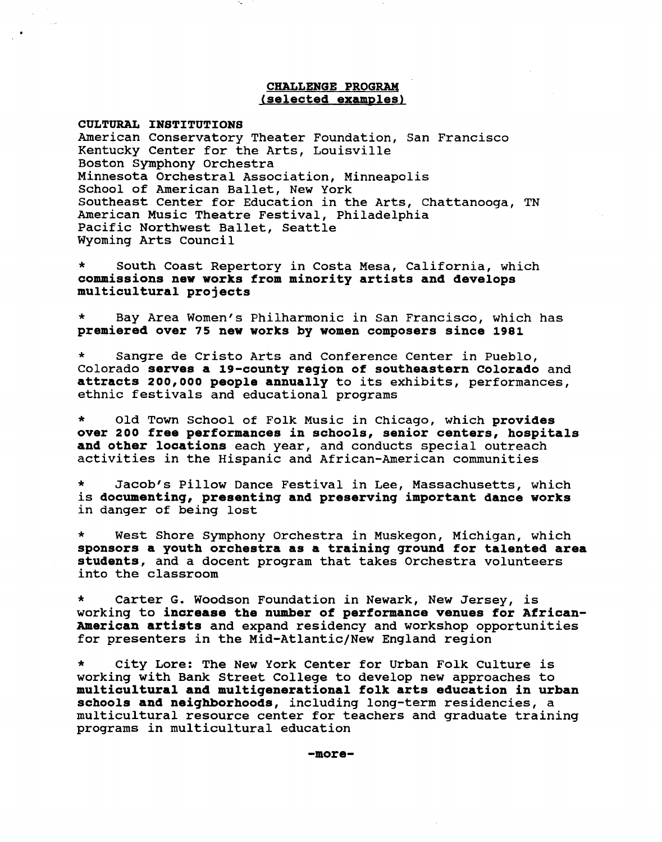### CHALLENGE PROGRAM (selected examples)

CULTURAL INSTITUTIONS

American Conservatory Theater Foundation, San Francisco Kentucky Center for the Arts, Louisville Boston Symphony Orchestra Minnesota Orchestral Association, Minneapolis School of American Ballet, New York Southeast Center for Education in the Arts, Chattanooga, TN American Music Theatre Festival, Philadelphia Pacific Northwest Ballet, Seattle Wyoming Arts Council

South Coast Repertory in Costa Mesa, California, which commissions new works from minority artists and develops multicultural projects

Bay Area Women's Philharmonic in San Francisco, which has premiered over 75 new works by women composers since 1981

Sangre de Cristo Arts and Conference Center in Pueblo, Colorado serves a 19-county region of southeastern Colorado and attracts 200,000 people annually to its exhibits, performances, ethnic festivals and educational programs

\* Old Town School of Folk Music in Chicago, which provides over 200 tree performances in schools, senior centers, hospitals and other locations each year, and conducts special outreach activities in the Hispanic and African-American communities

\* Jacob's Pillow Dance Festival in Lee, Massachusetts, which is documenting, presenting and preserving important dance works in danger of being lost

West Shore Symphony Orchestra in Muskegon, Michigan, which sponsors a youth orchestra as a training ground for talented area students, and a docent program that takes Orchestra volunteers into the classroom

Carter G. Woodson Foundation in Newark, New Jersey, is working to increase the number of performance venues for African-American artists and expand residency and workshop opportunities for presenters in the Mid-Atlantic/New England region

City Lore: The New York Center for Urban Folk Culture is working with Bank Street College to develop new approaches to multicultural and multigenerational folk arts education in urban schools and neighborhoods, including long-term residencies, a multicultural resource center for teachers and graduate training programs in multicultural education